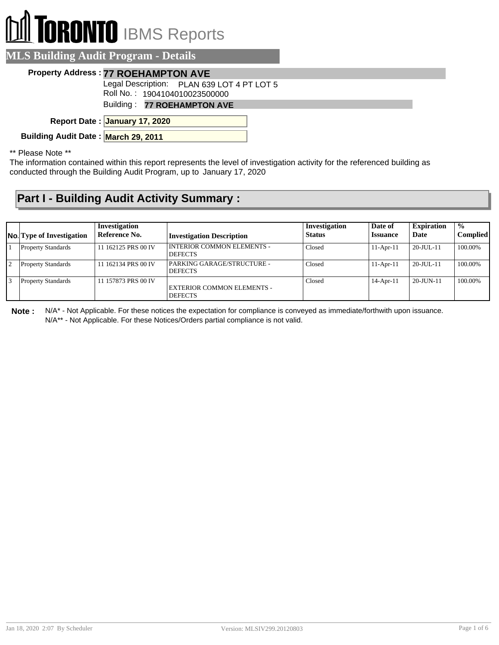## **TORONTO** IBMS Reports

| <b>MLS Building Audit Program - Details</b> |  |  |  |  |  |
|---------------------------------------------|--|--|--|--|--|
| <b>Property Address: 77 ROEHAMPTON AVE</b>  |  |  |  |  |  |
| Legal Description: PLAN 639 LOT 4 PT LOT 5  |  |  |  |  |  |
| Roll No.: 1904104010023500000               |  |  |  |  |  |
| Building: 77 ROEHAMPTON AVE                 |  |  |  |  |  |
| Report Date: January 17, 2020               |  |  |  |  |  |
| Building Audit Date: March 29, 2011         |  |  |  |  |  |
| $**$ Discover Mate $**$                     |  |  |  |  |  |

\*\* Please Note \*\*

The information contained within this report represents the level of investigation activity for the referenced building as conducted through the Building Audit Program, up to January 17, 2020

## **Part I - Building Audit Activity Summary :**

|    | <b>No. Type of Investigation</b> | Investigation<br>Reference No. | <b>Investigation Description</b>                    | Investigation<br>Status | Date of<br><b>Issuance</b> | <b>Expiration</b><br>Date | $\frac{0}{0}$<br>Complied |
|----|----------------------------------|--------------------------------|-----------------------------------------------------|-------------------------|----------------------------|---------------------------|---------------------------|
|    | <b>Property Standards</b>        | 11 162125 PRS 00 IV            | <b>INTERIOR COMMON ELEMENTS -</b><br><b>DEFECTS</b> | Closed                  | $11-Apr-11$                | $20$ -JUL-11              | 100.00%                   |
|    | <b>Property Standards</b>        | 11 162134 PRS 00 IV            | PARKING GARAGE/STRUCTURE -<br><b>DEFECTS</b>        | Closed                  | $11-Apr-11$                | $20$ -JUL-11              | 100.00%                   |
| 13 | <b>Property Standards</b>        | 11 157873 PRS 00 IV            | <b>EXTERIOR COMMON ELEMENTS -</b><br><b>DEFECTS</b> | Closed                  | $14$ -Apr-11               | $20$ -JUN-11              | 100.00%                   |

**Note :** N/A\* - Not Applicable. For these notices the expectation for compliance is conveyed as immediate/forthwith upon issuance. N/A\*\* - Not Applicable. For these Notices/Orders partial compliance is not valid.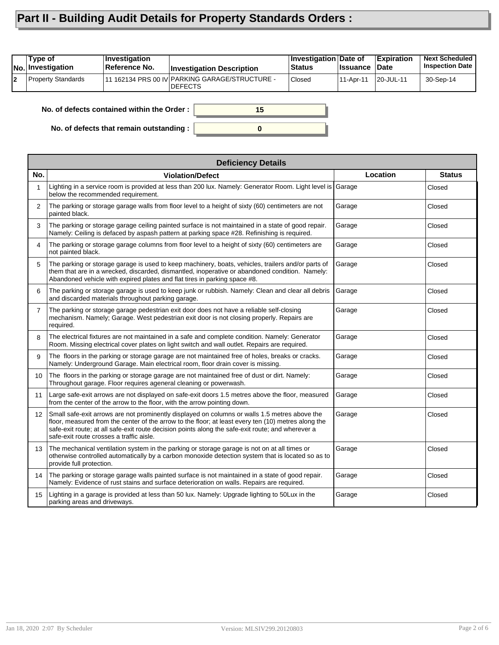## **Part II - Building Audit Details for Property Standards Orders :**

| 11 162134 PRS 00 IV PARKING GARAGE/STRUCTURE -<br><b>Property Standards</b><br><b>Closed</b><br>l2<br>30-Sep-14<br>11-Apr-11<br>20-JUL-11 | Type of<br><b>No. Investigation</b> | <b>Investigation</b><br>Reference No. | <b>Investigation Description</b> | Investigation Date of<br>⊦Status | <b>∣Issuance</b> | <b>Expiration</b><br>∣Date | <b>Next Scheduled</b><br><b>Inspection Date</b> |
|-------------------------------------------------------------------------------------------------------------------------------------------|-------------------------------------|---------------------------------------|----------------------------------|----------------------------------|------------------|----------------------------|-------------------------------------------------|
|                                                                                                                                           |                                     |                                       | IDEFECTS                         |                                  |                  |                            |                                                 |

**0**

**15**

**No. of defects contained within the Order :**

**No. of defects that remain outstanding :**

|                   | <b>Deficiency Details</b>                                                                                                                                                                                                                                                                                                                             |          |               |
|-------------------|-------------------------------------------------------------------------------------------------------------------------------------------------------------------------------------------------------------------------------------------------------------------------------------------------------------------------------------------------------|----------|---------------|
| No.               | <b>Violation/Defect</b>                                                                                                                                                                                                                                                                                                                               | Location | <b>Status</b> |
| $\mathbf{1}$      | Lighting in a service room is provided at less than 200 lux. Namely: Generator Room. Light level is Garage<br>below the recommended requirement.                                                                                                                                                                                                      |          | Closed        |
| 2                 | The parking or storage garage walls from floor level to a height of sixty (60) centimeters are not<br>painted black.                                                                                                                                                                                                                                  | Garage   | Closed        |
| 3                 | The parking or storage garage ceiling painted surface is not maintained in a state of good repair.<br>Namely: Ceiling is defaced by aspash pattern at parking space #28. Refinishing is required.                                                                                                                                                     | Garage   | Closed        |
| 4                 | The parking or storage garage columns from floor level to a height of sixty (60) centimeters are<br>not painted black.                                                                                                                                                                                                                                | Garage   | Closed        |
| 5                 | The parking or storage garage is used to keep machinery, boats, vehicles, trailers and/or parts of<br>them that are in a wrecked, discarded, dismantled, inoperative or abandoned condition. Namely:<br>Abandoned vehicle with expired plates and flat tires in parking space #8.                                                                     | Garage   | Closed        |
| 6                 | The parking or storage garage is used to keep junk or rubbish. Namely: Clean and clear all debris<br>and discarded materials throughout parking garage.                                                                                                                                                                                               | Garage   | Closed        |
| $\overline{7}$    | The parking or storage garage pedestrian exit door does not have a reliable self-closing<br>mechanism. Namely; Garage. West pedestrian exit door is not closing properly. Repairs are<br>required.                                                                                                                                                    | Garage   | Closed        |
| 8                 | The electrical fixtures are not maintained in a safe and complete condition. Namely: Generator<br>Room. Missing electrical cover plates on light switch and wall outlet. Repairs are required.                                                                                                                                                        | Garage   | Closed        |
| 9                 | The floors in the parking or storage garage are not maintained free of holes, breaks or cracks.<br>Namely: Underground Garage. Main electrical room, floor drain cover is missing.                                                                                                                                                                    | Garage   | Closed        |
| 10 <sup>1</sup>   | The floors in the parking or storage garage are not maintained free of dust or dirt. Namely:<br>Throughout garage. Floor requires ageneral cleaning or powerwash.                                                                                                                                                                                     | Garage   | Closed        |
| 11                | Large safe-exit arrows are not displayed on safe-exit doors 1.5 metres above the floor, measured<br>from the center of the arrow to the floor, with the arrow pointing down.                                                                                                                                                                          | Garage   | Closed        |
| $12 \overline{ }$ | Small safe-exit arrows are not prominently displayed on columns or walls 1.5 metres above the<br>floor, measured from the center of the arrow to the floor; at least every ten (10) metres along the<br>safe-exit route; at all safe-exit route decision points along the safe-exit route; and wherever a<br>safe-exit route crosses a traffic aisle. | Garage   | Closed        |
| 13                | The mechanical ventilation system in the parking or storage garage is not on at all times or<br>otherwise controlled automatically by a carbon monoxide detection system that is located so as to<br>provide full protection.                                                                                                                         | Garage   | Closed        |
| 14                | The parking or storage garage walls painted surface is not maintained in a state of good repair.<br>Namely: Evidence of rust stains and surface deterioration on walls. Repairs are required.                                                                                                                                                         | Garage   | Closed        |
| 15                | Lighting in a garage is provided at less than 50 lux. Namely: Upgrade lighting to 50Lux in the<br>parking areas and driveways.                                                                                                                                                                                                                        | Garage   | Closed        |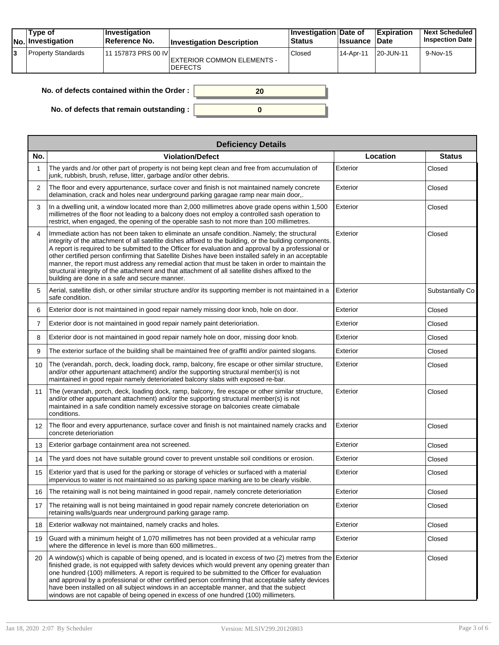| Type of<br><b>No. Investigation</b> | ∣Investiqation<br>Reference No. | <b>Investigation Description</b>             | <b>Investigation Date of</b><br><b>Status</b> | <b>Ilssuance</b> I | <b>Expiration</b><br><b>Date</b> | <b>Next Scheduled</b><br><b>Inspection Date</b> |
|-------------------------------------|---------------------------------|----------------------------------------------|-----------------------------------------------|--------------------|----------------------------------|-------------------------------------------------|
| <b>Property Standards</b>           | 11 157873 PRS 00 IVI            | EXTERIOR COMMON ELEMENTS -<br><b>DEFECTS</b> | Closed                                        | 14-Apr-11          | 20-JUN-11                        | 9-Nov-15                                        |

| No. of defects contained within the Order:       | 20 |
|--------------------------------------------------|----|
| No. of defects that remain outstanding : $\vert$ |    |

|                   | <b>Deficiency Details</b>                                                                                                                                                                                                                                                                                                                                                                                                                                                                                                                                                                                                                                                         |          |                  |  |  |  |  |  |  |
|-------------------|-----------------------------------------------------------------------------------------------------------------------------------------------------------------------------------------------------------------------------------------------------------------------------------------------------------------------------------------------------------------------------------------------------------------------------------------------------------------------------------------------------------------------------------------------------------------------------------------------------------------------------------------------------------------------------------|----------|------------------|--|--|--|--|--|--|
| No.               | <b>Violation/Defect</b>                                                                                                                                                                                                                                                                                                                                                                                                                                                                                                                                                                                                                                                           | Location | <b>Status</b>    |  |  |  |  |  |  |
| 1                 | The yards and /or other part of property is not being kept clean and free from accumulation of<br>junk, rubbish, brush, refuse, litter, garbage and/or other debris.                                                                                                                                                                                                                                                                                                                                                                                                                                                                                                              | Exterior | Closed           |  |  |  |  |  |  |
| $\overline{2}$    | The floor and every appurtenance, surface cover and finish is not maintained namely concrete<br>delamination, crack and holes near underground parking garagae ramp near main door,.                                                                                                                                                                                                                                                                                                                                                                                                                                                                                              | Exterior | Closed           |  |  |  |  |  |  |
| 3                 | In a dwelling unit, a window located more than 2,000 millimetres above grade opens within 1,500<br>millimetres of the floor not leading to a balcony does not employ a controlled sash operation to<br>restrict, when engaged, the opening of the operable sash to not more than 100 millimetres.                                                                                                                                                                                                                                                                                                                                                                                 | Exterior | Closed           |  |  |  |  |  |  |
| 4                 | Immediate action has not been taken to eliminate an unsafe condition. Namely; the structural<br>integrity of the attachment of all satellite dishes affixed to the building, or the building components.<br>A report is required to be submitted to the Officer for evaluation and approval by a professional or<br>other certified person confirming that Satellite Dishes have been installed safely in an acceptable<br>manner, the report must address any remedial action that must be taken in order to maintain the<br>structural integrity of the attachment and that attachment of all satellite dishes affixed to the<br>building are done in a safe and secure manner. | Exterior | Closed           |  |  |  |  |  |  |
| 5                 | Aerial, satellite dish, or other similar structure and/or its supporting member is not maintained in a<br>safe condition.                                                                                                                                                                                                                                                                                                                                                                                                                                                                                                                                                         | Exterior | Substantially Co |  |  |  |  |  |  |
| 6                 | Exterior door is not maintained in good repair namely missing door knob, hole on door.                                                                                                                                                                                                                                                                                                                                                                                                                                                                                                                                                                                            | Exterior | Closed           |  |  |  |  |  |  |
| $\overline{7}$    | Exterior door is not maintained in good repair namely paint deterioriation.                                                                                                                                                                                                                                                                                                                                                                                                                                                                                                                                                                                                       | Exterior | Closed           |  |  |  |  |  |  |
| 8                 | Exterior door is not maintained in good repair namely hole on door, missing door knob.                                                                                                                                                                                                                                                                                                                                                                                                                                                                                                                                                                                            | Exterior | Closed           |  |  |  |  |  |  |
| 9                 | The exterior surface of the building shall be maintained free of graffiti and/or painted slogans.                                                                                                                                                                                                                                                                                                                                                                                                                                                                                                                                                                                 | Exterior | Closed           |  |  |  |  |  |  |
| 10                | The (verandah, porch, deck, loading dock, ramp, balcony, fire escape or other similar structure,<br>and/or other appurtenant attachment) and/or the supporting structural member(s) is not<br>maintained in good repair namely deterioriated balcony slabs with exposed re-bar.                                                                                                                                                                                                                                                                                                                                                                                                   | Exterior | Closed           |  |  |  |  |  |  |
| 11                | The (verandah, porch, deck, loading dock, ramp, balcony, fire escape or other similar structure,<br>and/or other appurtenant attachment) and/or the supporting structural member(s) is not<br>maintained in a safe condition namely excessive storage on balconies create ciimabale<br>conditions.                                                                                                                                                                                                                                                                                                                                                                                | Exterior | Closed           |  |  |  |  |  |  |
| $12 \overline{ }$ | The floor and every appurtenance, surface cover and finish is not maintained namely cracks and<br>concrete deterioriation                                                                                                                                                                                                                                                                                                                                                                                                                                                                                                                                                         | Exterior | Closed           |  |  |  |  |  |  |
| 13                | Exterior garbage containment area not screened.                                                                                                                                                                                                                                                                                                                                                                                                                                                                                                                                                                                                                                   | Exterior | Closed           |  |  |  |  |  |  |
| 14                | The yard does not have suitable ground cover to prevent unstable soil conditions or erosion.                                                                                                                                                                                                                                                                                                                                                                                                                                                                                                                                                                                      | Exterior | Closed           |  |  |  |  |  |  |
| 15                | Exterior yard that is used for the parking or storage of vehicles or surfaced with a material<br>impervious to water is not maintained so as parking space marking are to be clearly visible.                                                                                                                                                                                                                                                                                                                                                                                                                                                                                     | Exterior | Closed           |  |  |  |  |  |  |
| 16                | The retaining wall is not being maintained in good repair, namely concrete deterioriation                                                                                                                                                                                                                                                                                                                                                                                                                                                                                                                                                                                         | Exterior | Closed           |  |  |  |  |  |  |
| 17                | The retaining wall is not being maintained in good repair namely concrete deterioriation on<br>retaining walls/guards near underground parking garage ramp.                                                                                                                                                                                                                                                                                                                                                                                                                                                                                                                       | Exterior | Closed           |  |  |  |  |  |  |
| 18                | Exterior walkway not maintained, namely cracks and holes.                                                                                                                                                                                                                                                                                                                                                                                                                                                                                                                                                                                                                         | Exterior | Closed           |  |  |  |  |  |  |
| 19                | Guard with a minimum height of 1,070 millimetres has not been provided at a vehicular ramp<br>where the difference in level is more than 600 millimetres                                                                                                                                                                                                                                                                                                                                                                                                                                                                                                                          | Exterior | Closed           |  |  |  |  |  |  |
| 20                | A window(s) which is capable of being opened, and is located in excess of two (2) metres from the Exterior<br>finished grade, is not equipped with safety devices which would prevent any opening greater than<br>one hundred (100) millimeters. A report is required to be submitted to the Officer for evaluation<br>and approval by a professional or other certified person confirming that acceptable safety devices<br>have been installed on all subject windows in an acceptable manner, and that the subject<br>windows are not capable of being opened in excess of one hundred (100) millimeters.                                                                      |          | Closed           |  |  |  |  |  |  |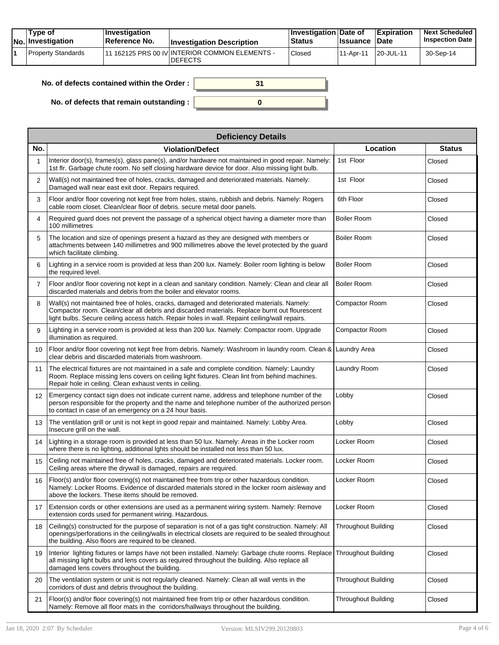| Tvpe of<br>No. Investigation | $\blacksquare$ Investigation<br>Reference No. | <b>Investigation Description</b>                                  | <b>Investigation Date of</b><br><b>Status</b> | <b>Issuance</b> | <b>Expiration</b><br><b>Date</b> | <b>Next Scheduled</b><br><b>Inspection Date</b> |
|------------------------------|-----------------------------------------------|-------------------------------------------------------------------|-----------------------------------------------|-----------------|----------------------------------|-------------------------------------------------|
| Property Standards           |                                               | '11 162125 PRS 00 IV INTERIOR COMMON ELEMENTS -<br><b>DEFECTS</b> | <sup>'</sup> Closed                           | 11-Apr-11       | 20-JUL-11                        | 30-Sep-14                                       |

| No. of defects contained within the Order:       |  |
|--------------------------------------------------|--|
| No. of defects that remain outstanding : $\vert$ |  |

|                 | <b>Deficiency Details</b>                                                                                                                                                                                                                                                                   |                            |               |  |  |  |  |  |  |  |
|-----------------|---------------------------------------------------------------------------------------------------------------------------------------------------------------------------------------------------------------------------------------------------------------------------------------------|----------------------------|---------------|--|--|--|--|--|--|--|
| No.             | <b>Violation/Defect</b>                                                                                                                                                                                                                                                                     | Location                   | <b>Status</b> |  |  |  |  |  |  |  |
| 1               | Interior door(s), frames(s), glass pane(s), and/or hardware not maintained in good repair. Namely:<br>1st flr. Garbage chute room. No self closing hardware device for door. Also missing light bulb.                                                                                       | 1st Floor                  | Closed        |  |  |  |  |  |  |  |
| $\overline{2}$  | Wall(s) not maintained free of holes, cracks, damaged and deteriorated materials. Namely:<br>Damaged wall near east exit door. Repairs required.                                                                                                                                            | 1st Floor                  | Closed        |  |  |  |  |  |  |  |
| 3               | Floor and/or floor covering not kept free from holes, stains, rubbish and debris. Namely: Rogers<br>cable room closet. Clean/clear floor of debris. secure metal door panels.                                                                                                               | 6th Floor                  | Closed        |  |  |  |  |  |  |  |
| 4               | Required guard does not prevent the passage of a spherical object having a diameter more than<br>100 millimetres                                                                                                                                                                            | <b>Boiler Room</b>         | Closed        |  |  |  |  |  |  |  |
| 5               | The location and size of openings present a hazard as they are designed with members or<br>attachments between 140 millimetres and 900 millimetres above the level protected by the guard<br>which facilitate climbing.                                                                     | <b>Boiler Room</b>         | Closed        |  |  |  |  |  |  |  |
| 6               | Lighting in a service room is provided at less than 200 lux. Namely: Boiler room lighting is below<br>the required level.                                                                                                                                                                   | <b>Boiler Room</b>         | Closed        |  |  |  |  |  |  |  |
| $\overline{7}$  | Floor and/or floor covering not kept in a clean and sanitary condition. Namely: Clean and clear all<br>discarded materials and debris from the boiler and elevator rooms.                                                                                                                   | <b>Boiler Room</b>         | Closed        |  |  |  |  |  |  |  |
| 8               | Wall(s) not maintained free of holes, cracks, damaged and deteriorated materials. Namely:<br>Compactor room. Clean/clear all debris and discarded materials. Replace burnt out flourescent<br>light bulbs. Secure ceiling access hatch. Repair holes in wall. Repaint ceiling/wall repairs. | Compactor Room             | Closed        |  |  |  |  |  |  |  |
| 9               | Lighting in a service room is provided at less than 200 lux. Namely: Compactor room. Upgrade<br>illumination as required.                                                                                                                                                                   | Compactor Room             | Closed        |  |  |  |  |  |  |  |
| 10              | Floor and/or floor covering not kept free from debris. Namely: Washroom in laundry room. Clean &<br>clear debris and discarded materials from washroom.                                                                                                                                     | Laundry Area               | Closed        |  |  |  |  |  |  |  |
| 11              | The electrical fixtures are not maintained in a safe and complete condition. Namely: Laundry<br>Room. Replace missing lens covers on ceiling light fixtures. Clean lint from behind machines.<br>Repair hole in ceiling. Clean exhaust vents in ceiling.                                    | Laundry Room               | Closed        |  |  |  |  |  |  |  |
| 12 <sup>2</sup> | Emergency contact sign does not indicate current name, address and telephone number of the<br>person responsible for the property and the name and telephone number of the authorized person<br>to contact in case of an emergency on a 24 hour basis.                                      | Lobby                      | Closed        |  |  |  |  |  |  |  |
| 13              | The ventilation grill or unit is not kept in good repair and maintained. Namely: Lobby Area.<br>Insecure grill on the wall.                                                                                                                                                                 | Lobby                      | Closed        |  |  |  |  |  |  |  |
| 14              | Lighting in a storage room is provided at less than 50 lux. Namely: Areas in the Locker room<br>where there is no lighting, additional lghts should be installed not less than 50 lux.                                                                                                      | Locker Room                | Closed        |  |  |  |  |  |  |  |
| 15              | Ceiling not maintained free of holes, cracks, damaged and deteriorated materials. Locker room.<br>Ceiling areas where the drywall is damaged, repairs are required.                                                                                                                         | Locker Room                | Closed        |  |  |  |  |  |  |  |
| 16              | Floor(s) and/or floor covering(s) not maintained free from trip or other hazardous condition.<br>Namely: Locker Rooms. Evidence of discarded materials stored in the locker room aisleway and<br>above the lockers. These items should be removed.                                          | Locker Room                | Closed        |  |  |  |  |  |  |  |
| 17              | Extension cords or other extensions are used as a permanent wiring system. Namely: Remove<br>extension cords used for permanent wiring. Hazardous.                                                                                                                                          | Locker Room                | Closed        |  |  |  |  |  |  |  |
| 18              | Ceiling(s) constructed for the purpose of separation is not of a gas tight construction. Namely: All<br>openings/perforations in the ceiling/walls in electrical closets are required to be sealed throughout<br>the building. Also floors are required to be cleaned.                      | <b>Throughout Building</b> | Closed        |  |  |  |  |  |  |  |
| 19              | Interior lighting fixtures or lamps have not been installed. Namely: Garbage chute rooms. Replace<br>all missing light bulbs and lens covers as required throughout the building. Also replace all<br>damaged lens covers throughout the building.                                          | <b>Throughout Building</b> | Closed        |  |  |  |  |  |  |  |
| 20              | The ventilation system or unit is not regularly cleaned. Namely: Clean all wall vents in the<br>corridors of dust and debris throughout the building.                                                                                                                                       | <b>Throughout Building</b> | Closed        |  |  |  |  |  |  |  |
| 21              | Floor(s) and/or floor covering(s) not maintained free from trip or other hazardous condition.<br>Namely: Remove all floor mats in the corridors/hallways throughout the building.                                                                                                           | <b>Throughout Building</b> | Closed        |  |  |  |  |  |  |  |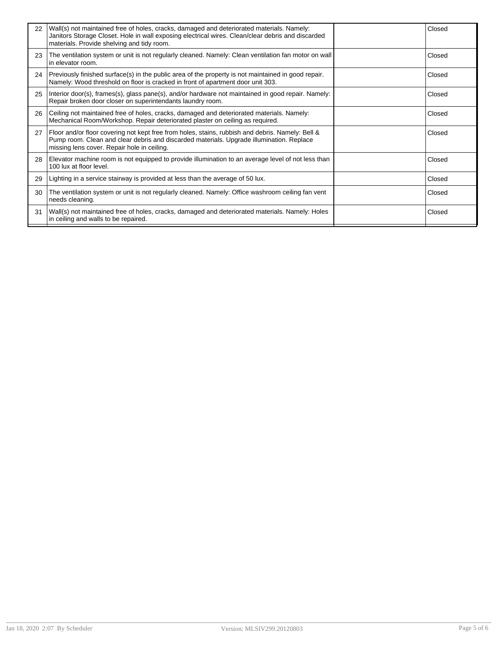| 22 | Wall(s) not maintained free of holes, cracks, damaged and deteriorated materials. Namely:<br>Janitors Storage Closet. Hole in wall exposing electrical wires. Clean/clear debris and discarded<br>materials. Provide shelving and tidy room. | Closed |
|----|----------------------------------------------------------------------------------------------------------------------------------------------------------------------------------------------------------------------------------------------|--------|
| 23 | The ventilation system or unit is not regularly cleaned. Namely: Clean ventilation fan motor on wall<br>in elevator room.                                                                                                                    | Closed |
| 24 | Previously finished surface(s) in the public area of the property is not maintained in good repair.<br>Namely: Wood threshold on floor is cracked in front of apartment door unit 303.                                                       | Closed |
| 25 | Interior door(s), frames(s), glass pane(s), and/or hardware not maintained in good repair. Namely:<br>Repair broken door closer on superintendants laundry room.                                                                             | Closed |
| 26 | Ceiling not maintained free of holes, cracks, damaged and deteriorated materials. Namely:<br>Mechanical Room/Workshop. Repair deteriorated plaster on ceiling as required.                                                                   | Closed |
| 27 | Floor and/or floor covering not kept free from holes, stains, rubbish and debris. Namely: Bell &<br>Pump room. Clean and clear debris and discarded materials. Upgrade illumination. Replace<br>missing lens cover. Repair hole in ceiling.  | Closed |
| 28 | Elevator machine room is not equipped to provide illumination to an average level of not less than<br>100 lux at floor level.                                                                                                                | Closed |
| 29 | Lighting in a service stairway is provided at less than the average of 50 lux.                                                                                                                                                               | Closed |
| 30 | The ventilation system or unit is not regularly cleaned. Namely: Office washroom ceiling fan vent<br>needs cleaning.                                                                                                                         | Closed |
| 31 | Wall(s) not maintained free of holes, cracks, damaged and deteriorated materials. Namely: Holes<br>in ceiling and walls to be repaired.                                                                                                      | Closed |